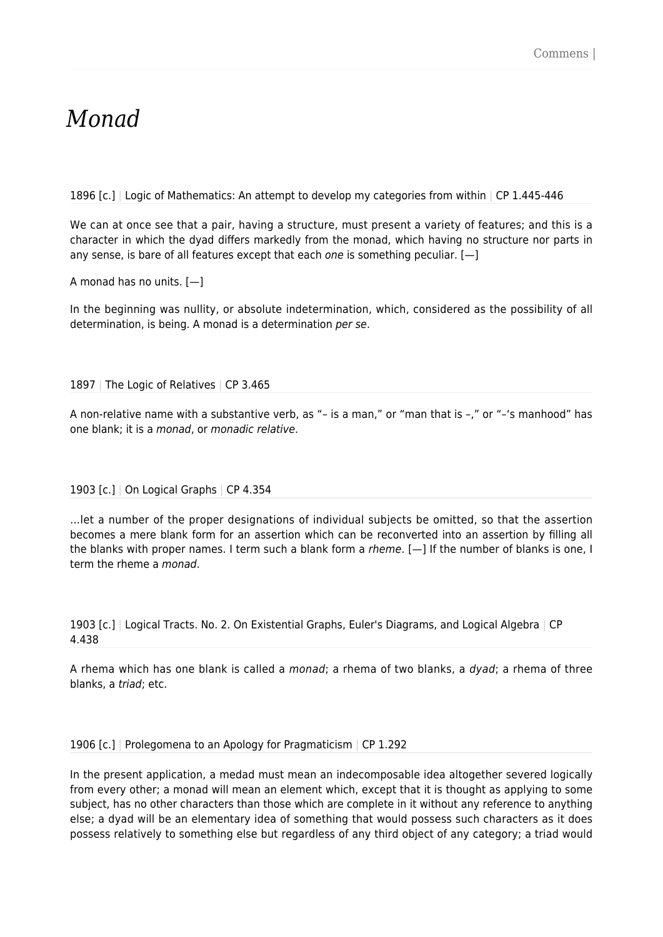## *Monad*

1896 [c.] | Logic of Mathematics: An attempt to develop my categories from within | CP 1.445-446

We can at once see that a pair, having a structure, must present a variety of features; and this is a character in which the dyad differs markedly from the monad, which having no structure nor parts in any sense, is bare of all features except that each one is something peculiar.  $[-]$ 

A monad has no units. [—]

In the beginning was nullity, or absolute indetermination, which, considered as the possibility of all determination, is being. A monad is a determination per se.

1897 | The Logic of Relatives | CP 3.465

A non-relative name with a substantive verb, as "– is a man," or "man that is –," or "–'s manhood" has one blank; it is a monad, or monadic relative.

1903 [c.] | On Logical Graphs | CP 4.354

…let a number of the proper designations of individual subjects be omitted, so that the assertion becomes a mere blank form for an assertion which can be reconverted into an assertion by filling all the blanks with proper names. I term such a blank form a rheme. [—] If the number of blanks is one, I term the rheme a monad.

1903 [c.] | Logical Tracts. No. 2. On Existential Graphs, Euler's Diagrams, and Logical Algebra | CP 4.438

A rhema which has one blank is called a monad; a rhema of two blanks, a dyad; a rhema of three blanks, a triad; etc.

1906 [c.] | Prolegomena to an Apology for Pragmaticism | CP 1.292

In the present application, a medad must mean an indecomposable idea altogether severed logically from every other; a monad will mean an element which, except that it is thought as applying to some subject, has no other characters than those which are complete in it without any reference to anything else; a dyad will be an elementary idea of something that would possess such characters as it does possess relatively to something else but regardless of any third object of any category; a triad would